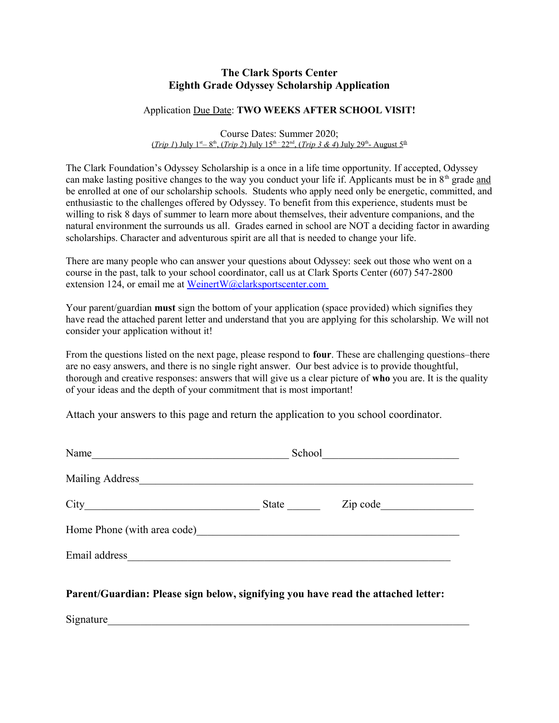## **The Clark Sports Center Eighth Grade Odyssey Scholarship Application**

## Application Due Date: **TWO WEEKS AFTER SCHOOL VISIT!**

Course Dates: Summer 2020; (*Trip 1*) July 1<sup>st</sup> – 8<sup>th</sup>, (*Trip 2*) July 15<sup>th –</sup> 22<sup>nd</sup>, (*Trip 3 & 4*) July 29<sup>th</sup> – August 5<sup>th</sup>

The Clark Foundation's Odyssey Scholarship is a once in a life time opportunity. If accepted, Odyssey can make lasting positive changes to the way you conduct your life if. Applicants must be in 8<sup>th</sup> grade and be enrolled at one of our scholarship schools. Students who apply need only be energetic, committed, and enthusiastic to the challenges offered by Odyssey. To benefit from this experience, students must be willing to risk 8 days of summer to learn more about themselves, their adventure companions, and the natural environment the surrounds us all. Grades earned in school are NOT a deciding factor in awarding scholarships. Character and adventurous spirit are all that is needed to change your life.

There are many people who can answer your questions about Odyssey: seek out those who went on a course in the past, talk to your school coordinator, call us at Clark Sports Center (607) 547-2800 extension 124, or email me at [WeinertW@clarksportscenter.com](mailto:WeinertW@clarksportscenter.com)

Your parent/guardian **must** sign the bottom of your application (space provided) which signifies they have read the attached parent letter and understand that you are applying for this scholarship. We will not consider your application without it!

From the questions listed on the next page, please respond to **four**. These are challenging questions–there are no easy answers, and there is no single right answer. Our best advice is to provide thoughtful, thorough and creative responses: answers that will give us a clear picture of **who** you are. It is the quality of your ideas and the depth of your commitment that is most important!

Attach your answers to this page and return the application to you school coordinator.

| Name            | School            |
|-----------------|-------------------|
| Mailing Address |                   |
| City            | Zip code<br>State |
|                 |                   |
| Email address   |                   |

**Parent/Guardian: Please sign below, signifying you have read the attached letter:**

Signature